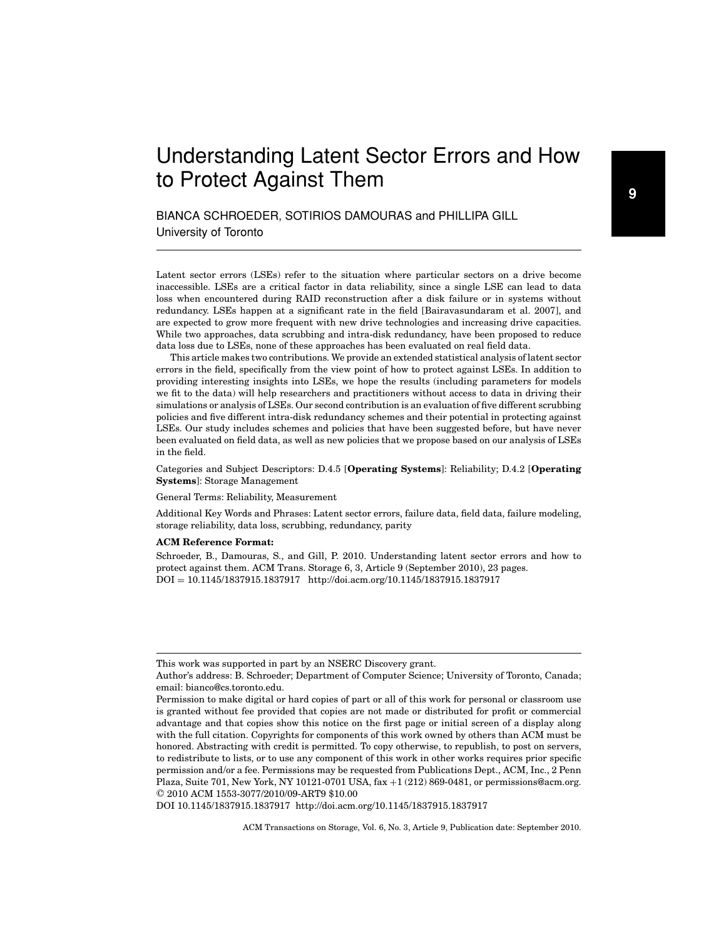# Understanding Latent Sector Errors and How to Protect Against Them

BIANCA SCHROEDER, SOTIRIOS DAMOURAS and PHILLIPA GILL University of Toronto

Latent sector errors (LSEs) refer to the situation where particular sectors on a drive become inaccessible. LSEs are a critical factor in data reliability, since a single LSE can lead to data loss when encountered during RAID reconstruction after a disk failure or in systems without redundancy. LSEs happen at a significant rate in the field [Bairavasundaram et al. 2007], and are expected to grow more frequent with new drive technologies and increasing drive capacities. While two approaches, data scrubbing and intra-disk redundancy, have been proposed to reduce data loss due to LSEs, none of these approaches has been evaluated on real field data.

This article makes two contributions. We provide an extended statistical analysis of latent sector errors in the field, specifically from the view point of how to protect against LSEs. In addition to providing interesting insights into LSEs, we hope the results (including parameters for models we fit to the data) will help researchers and practitioners without access to data in driving their simulations or analysis of LSEs. Our second contribution is an evaluation of five different scrubbing policies and five different intra-disk redundancy schemes and their potential in protecting against LSEs. Our study includes schemes and policies that have been suggested before, but have never been evaluated on field data, as well as new policies that we propose based on our analysis of LSEs in the field.

Categories and Subject Descriptors: D.4.5 [**Operating Systems**]: Reliability; D.4.2 [**Operating Systems**]: Storage Management

General Terms: Reliability, Measurement

Additional Key Words and Phrases: Latent sector errors, failure data, field data, failure modeling, storage reliability, data loss, scrubbing, redundancy, parity

#### **ACM Reference Format:**

Schroeder, B., Damouras, S., and Gill, P. 2010. Understanding latent sector errors and how to protect against them. ACM Trans. Storage 6, 3, Article 9 (September 2010), 23 pages. DOI = 10.1145/1837915.1837917 http://doi.acm.org/10.1145/1837915.1837917

DOI 10.1145/1837915.1837917 http://doi.acm.org/10.1145/1837915.1837917

This work was supported in part by an NSERC Discovery grant.

Author's address: B. Schroeder; Department of Computer Science; University of Toronto, Canada; email: bianco@cs.toronto.edu.

Permission to make digital or hard copies of part or all of this work for personal or classroom use is granted without fee provided that copies are not made or distributed for profit or commercial advantage and that copies show this notice on the first page or initial screen of a display along with the full citation. Copyrights for components of this work owned by others than ACM must be honored. Abstracting with credit is permitted. To copy otherwise, to republish, to post on servers, to redistribute to lists, or to use any component of this work in other works requires prior specific permission and/or a fee. Permissions may be requested from Publications Dept., ACM, Inc., 2 Penn Plaza, Suite 701, New York, NY 10121-0701 USA, fax +1 (212) 869-0481, or permissions@acm.org. -C 2010 ACM 1553-3077/2010/09-ART9 \$10.00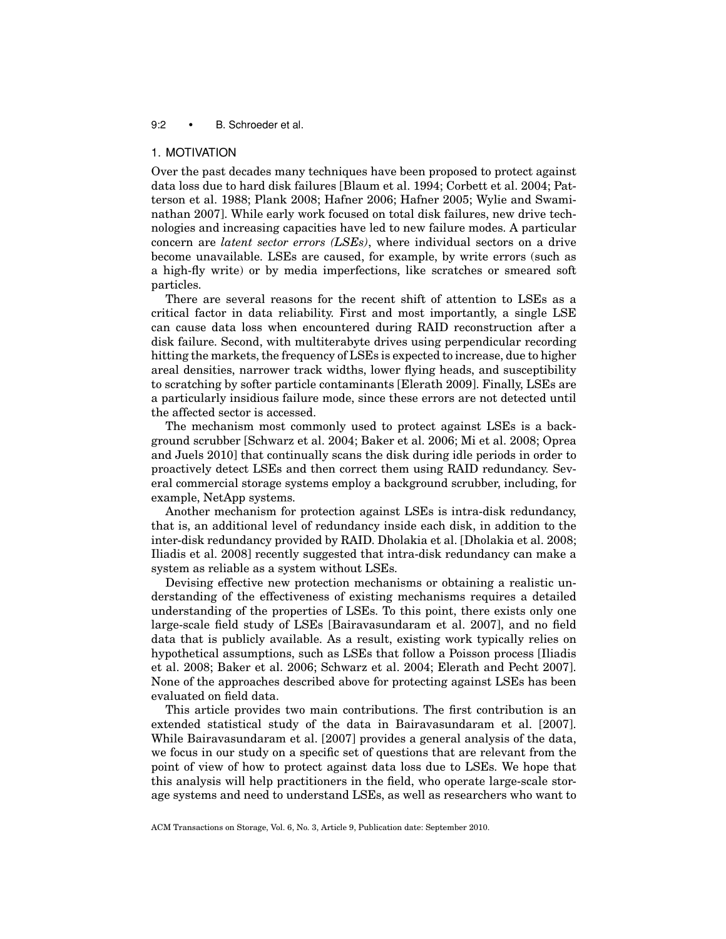#### 9:2 • B. Schroeder et al.

#### 1. MOTIVATION

Over the past decades many techniques have been proposed to protect against data loss due to hard disk failures [Blaum et al. 1994; Corbett et al. 2004; Patterson et al. 1988; Plank 2008; Hafner 2006; Hafner 2005; Wylie and Swaminathan 2007]. While early work focused on total disk failures, new drive technologies and increasing capacities have led to new failure modes. A particular concern are *latent sector errors (LSEs)*, where individual sectors on a drive become unavailable. LSEs are caused, for example, by write errors (such as a high-fly write) or by media imperfections, like scratches or smeared soft particles.

There are several reasons for the recent shift of attention to LSEs as a critical factor in data reliability. First and most importantly, a single LSE can cause data loss when encountered during RAID reconstruction after a disk failure. Second, with multiterabyte drives using perpendicular recording hitting the markets, the frequency of LSEs is expected to increase, due to higher areal densities, narrower track widths, lower flying heads, and susceptibility to scratching by softer particle contaminants [Elerath 2009]. Finally, LSEs are a particularly insidious failure mode, since these errors are not detected until the affected sector is accessed.

The mechanism most commonly used to protect against LSEs is a background scrubber [Schwarz et al. 2004; Baker et al. 2006; Mi et al. 2008; Oprea and Juels 2010] that continually scans the disk during idle periods in order to proactively detect LSEs and then correct them using RAID redundancy. Several commercial storage systems employ a background scrubber, including, for example, NetApp systems.

Another mechanism for protection against LSEs is intra-disk redundancy, that is, an additional level of redundancy inside each disk, in addition to the inter-disk redundancy provided by RAID. Dholakia et al. [Dholakia et al. 2008; Iliadis et al. 2008] recently suggested that intra-disk redundancy can make a system as reliable as a system without LSEs.

Devising effective new protection mechanisms or obtaining a realistic understanding of the effectiveness of existing mechanisms requires a detailed understanding of the properties of LSEs. To this point, there exists only one large-scale field study of LSEs [Bairavasundaram et al. 2007], and no field data that is publicly available. As a result, existing work typically relies on hypothetical assumptions, such as LSEs that follow a Poisson process [Iliadis et al. 2008; Baker et al. 2006; Schwarz et al. 2004; Elerath and Pecht 2007]. None of the approaches described above for protecting against LSEs has been evaluated on field data.

This article provides two main contributions. The first contribution is an extended statistical study of the data in Bairavasundaram et al. [2007]. While Bairavasundaram et al. [2007] provides a general analysis of the data, we focus in our study on a specific set of questions that are relevant from the point of view of how to protect against data loss due to LSEs. We hope that this analysis will help practitioners in the field, who operate large-scale storage systems and need to understand LSEs, as well as researchers who want to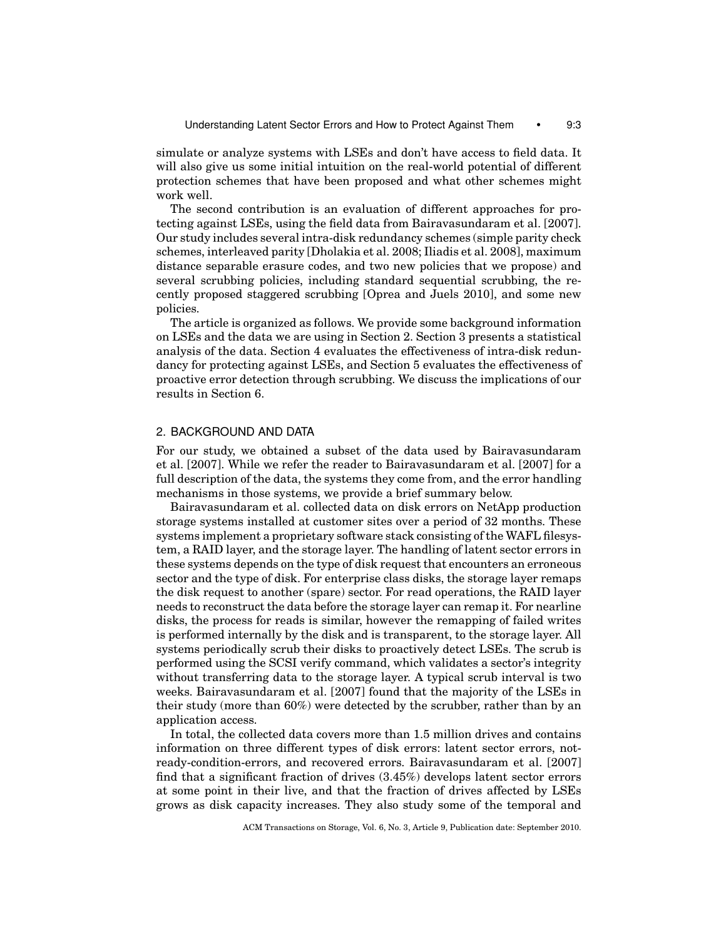simulate or analyze systems with LSEs and don't have access to field data. It will also give us some initial intuition on the real-world potential of different protection schemes that have been proposed and what other schemes might work well.

The second contribution is an evaluation of different approaches for protecting against LSEs, using the field data from Bairavasundaram et al. [2007]. Our study includes several intra-disk redundancy schemes (simple parity check schemes, interleaved parity [Dholakia et al. 2008; Iliadis et al. 2008], maximum distance separable erasure codes, and two new policies that we propose) and several scrubbing policies, including standard sequential scrubbing, the recently proposed staggered scrubbing [Oprea and Juels 2010], and some new policies.

The article is organized as follows. We provide some background information on LSEs and the data we are using in Section 2. Section 3 presents a statistical analysis of the data. Section 4 evaluates the effectiveness of intra-disk redundancy for protecting against LSEs, and Section 5 evaluates the effectiveness of proactive error detection through scrubbing. We discuss the implications of our results in Section 6.

#### 2. BACKGROUND AND DATA

For our study, we obtained a subset of the data used by Bairavasundaram et al. [2007]. While we refer the reader to Bairavasundaram et al. [2007] for a full description of the data, the systems they come from, and the error handling mechanisms in those systems, we provide a brief summary below.

Bairavasundaram et al. collected data on disk errors on NetApp production storage systems installed at customer sites over a period of 32 months. These systems implement a proprietary software stack consisting of the WAFL filesystem, a RAID layer, and the storage layer. The handling of latent sector errors in these systems depends on the type of disk request that encounters an erroneous sector and the type of disk. For enterprise class disks, the storage layer remaps the disk request to another (spare) sector. For read operations, the RAID layer needs to reconstruct the data before the storage layer can remap it. For nearline disks, the process for reads is similar, however the remapping of failed writes is performed internally by the disk and is transparent, to the storage layer. All systems periodically scrub their disks to proactively detect LSEs. The scrub is performed using the SCSI verify command, which validates a sector's integrity without transferring data to the storage layer. A typical scrub interval is two weeks. Bairavasundaram et al. [2007] found that the majority of the LSEs in their study (more than 60%) were detected by the scrubber, rather than by an application access.

In total, the collected data covers more than 1.5 million drives and contains information on three different types of disk errors: latent sector errors, notready-condition-errors, and recovered errors. Bairavasundaram et al. [2007] find that a significant fraction of drives (3.45%) develops latent sector errors at some point in their live, and that the fraction of drives affected by LSEs grows as disk capacity increases. They also study some of the temporal and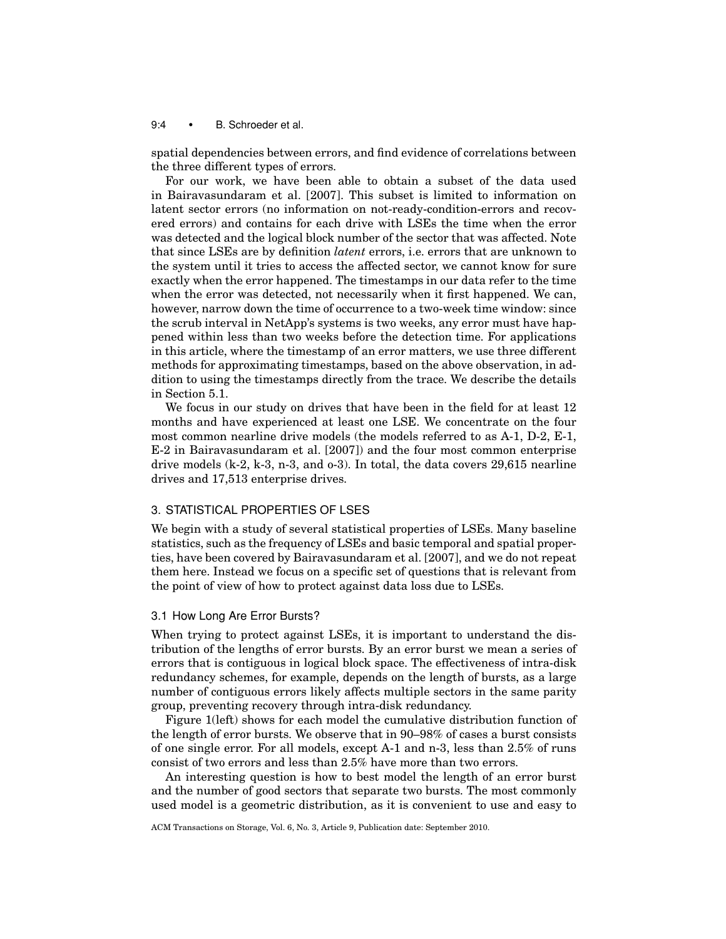#### 9:4 • B. Schroeder et al.

spatial dependencies between errors, and find evidence of correlations between the three different types of errors.

For our work, we have been able to obtain a subset of the data used in Bairavasundaram et al. [2007]. This subset is limited to information on latent sector errors (no information on not-ready-condition-errors and recovered errors) and contains for each drive with LSEs the time when the error was detected and the logical block number of the sector that was affected. Note that since LSEs are by definition *latent* errors, i.e. errors that are unknown to the system until it tries to access the affected sector, we cannot know for sure exactly when the error happened. The timestamps in our data refer to the time when the error was detected, not necessarily when it first happened. We can, however, narrow down the time of occurrence to a two-week time window: since the scrub interval in NetApp's systems is two weeks, any error must have happened within less than two weeks before the detection time. For applications in this article, where the timestamp of an error matters, we use three different methods for approximating timestamps, based on the above observation, in addition to using the timestamps directly from the trace. We describe the details in Section 5.1.

We focus in our study on drives that have been in the field for at least 12 months and have experienced at least one LSE. We concentrate on the four most common nearline drive models (the models referred to as A-1, D-2, E-1, E-2 in Bairavasundaram et al. [2007]) and the four most common enterprise drive models (k-2, k-3, n-3, and o-3). In total, the data covers 29,615 nearline drives and 17,513 enterprise drives.

# 3. STATISTICAL PROPERTIES OF LSES

We begin with a study of several statistical properties of LSEs. Many baseline statistics, such as the frequency of LSEs and basic temporal and spatial properties, have been covered by Bairavasundaram et al. [2007], and we do not repeat them here. Instead we focus on a specific set of questions that is relevant from the point of view of how to protect against data loss due to LSEs.

#### 3.1 How Long Are Error Bursts?

When trying to protect against LSEs, it is important to understand the distribution of the lengths of error bursts. By an error burst we mean a series of errors that is contiguous in logical block space. The effectiveness of intra-disk redundancy schemes, for example, depends on the length of bursts, as a large number of contiguous errors likely affects multiple sectors in the same parity group, preventing recovery through intra-disk redundancy.

Figure 1(left) shows for each model the cumulative distribution function of the length of error bursts. We observe that in 90–98% of cases a burst consists of one single error. For all models, except A-1 and n-3, less than 2.5% of runs consist of two errors and less than 2.5% have more than two errors.

An interesting question is how to best model the length of an error burst and the number of good sectors that separate two bursts. The most commonly used model is a geometric distribution, as it is convenient to use and easy to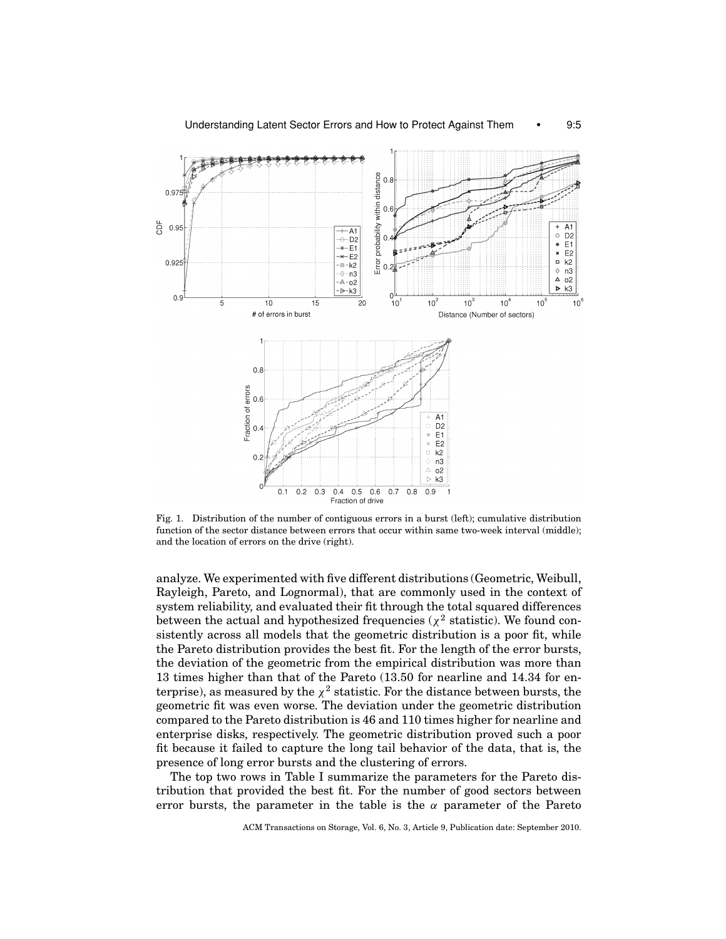

Fig. 1. Distribution of the number of contiguous errors in a burst (left); cumulative distribution function of the sector distance between errors that occur within same two-week interval (middle); and the location of errors on the drive (right).

analyze. We experimented with five different distributions (Geometric, Weibull, Rayleigh, Pareto, and Lognormal), that are commonly used in the context of system reliability, and evaluated their fit through the total squared differences between the actual and hypothesized frequencies ( $\chi^2$  statistic). We found consistently across all models that the geometric distribution is a poor fit, while the Pareto distribution provides the best fit. For the length of the error bursts, the deviation of the geometric from the empirical distribution was more than 13 times higher than that of the Pareto (13.50 for nearline and 14.34 for enterprise), as measured by the  $\chi^2$  statistic. For the distance between bursts, the geometric fit was even worse. The deviation under the geometric distribution compared to the Pareto distribution is 46 and 110 times higher for nearline and enterprise disks, respectively. The geometric distribution proved such a poor fit because it failed to capture the long tail behavior of the data, that is, the presence of long error bursts and the clustering of errors.

The top two rows in Table I summarize the parameters for the Pareto distribution that provided the best fit. For the number of good sectors between error bursts, the parameter in the table is the  $\alpha$  parameter of the Pareto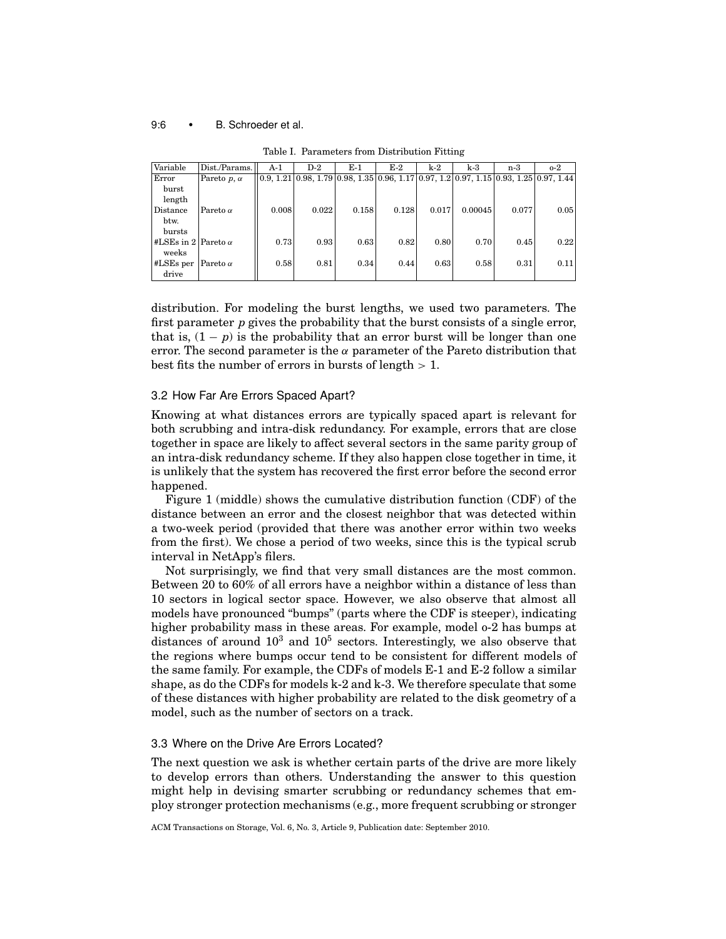## 9:6 • B. Schroeder et al.

| Variable                               | Dist./Params.      | $A-1$ | $D-2$                                                                                                   | E-1   | $E-2$ | $k-2$ | k-3     | $n-3$ | $0-2$ |
|----------------------------------------|--------------------|-------|---------------------------------------------------------------------------------------------------------|-------|-------|-------|---------|-------|-------|
| Error                                  | Pareto $p, \alpha$ |       | $(0.9, 1.21   0.98, 1.79   0.98, 1.35   0.96, 1.17   0.97, 1.2   0.97, 1.15   0.93, 1.25   0.97, 1.44)$ |       |       |       |         |       |       |
| $_{\text{burst}}$                      |                    |       |                                                                                                         |       |       |       |         |       |       |
| length                                 |                    |       |                                                                                                         |       |       |       |         |       |       |
| Distance                               | Pareto $\alpha$    | 0.008 | 0.022                                                                                                   | 0.158 | 0.128 | 0.017 | 0.00045 | 0.077 | 0.05  |
| btw.                                   |                    |       |                                                                                                         |       |       |       |         |       |       |
| bursts                                 |                    |       |                                                                                                         |       |       |       |         |       |       |
| #LSEs in $2 \text{  }$ Pareto $\alpha$ |                    | 0.73  | 0.93                                                                                                    | 0.63  | 0.82  | 0.80  | 0.70    | 0.45  | 0.22  |
| weeks                                  |                    |       |                                                                                                         |       |       |       |         |       |       |
| #LSEs per                              | Pareto $\alpha$    | 0.58  | 0.81                                                                                                    | 0.34  | 0.44  | 0.63  | 0.58    | 0.31  | 0.11  |
| drive                                  |                    |       |                                                                                                         |       |       |       |         |       |       |

Table I. Parameters from Distribution Fitting

distribution. For modeling the burst lengths, we used two parameters. The first parameter *p* gives the probability that the burst consists of a single error, that is,  $(1 - p)$  is the probability that an error burst will be longer than one error. The second parameter is the  $\alpha$  parameter of the Pareto distribution that best fits the number of errors in bursts of length  $> 1$ .

### 3.2 How Far Are Errors Spaced Apart?

Knowing at what distances errors are typically spaced apart is relevant for both scrubbing and intra-disk redundancy. For example, errors that are close together in space are likely to affect several sectors in the same parity group of an intra-disk redundancy scheme. If they also happen close together in time, it is unlikely that the system has recovered the first error before the second error happened.

Figure 1 (middle) shows the cumulative distribution function (CDF) of the distance between an error and the closest neighbor that was detected within a two-week period (provided that there was another error within two weeks from the first). We chose a period of two weeks, since this is the typical scrub interval in NetApp's filers.

Not surprisingly, we find that very small distances are the most common. Between 20 to 60% of all errors have a neighbor within a distance of less than 10 sectors in logical sector space. However, we also observe that almost all models have pronounced "bumps" (parts where the CDF is steeper), indicating higher probability mass in these areas. For example, model o-2 has bumps at distances of around  $10^3$  and  $10^5$  sectors. Interestingly, we also observe that the regions where bumps occur tend to be consistent for different models of the same family. For example, the CDFs of models E-1 and E-2 follow a similar shape, as do the CDFs for models k-2 and k-3. We therefore speculate that some of these distances with higher probability are related to the disk geometry of a model, such as the number of sectors on a track.

# 3.3 Where on the Drive Are Errors Located?

The next question we ask is whether certain parts of the drive are more likely to develop errors than others. Understanding the answer to this question might help in devising smarter scrubbing or redundancy schemes that employ stronger protection mechanisms (e.g., more frequent scrubbing or stronger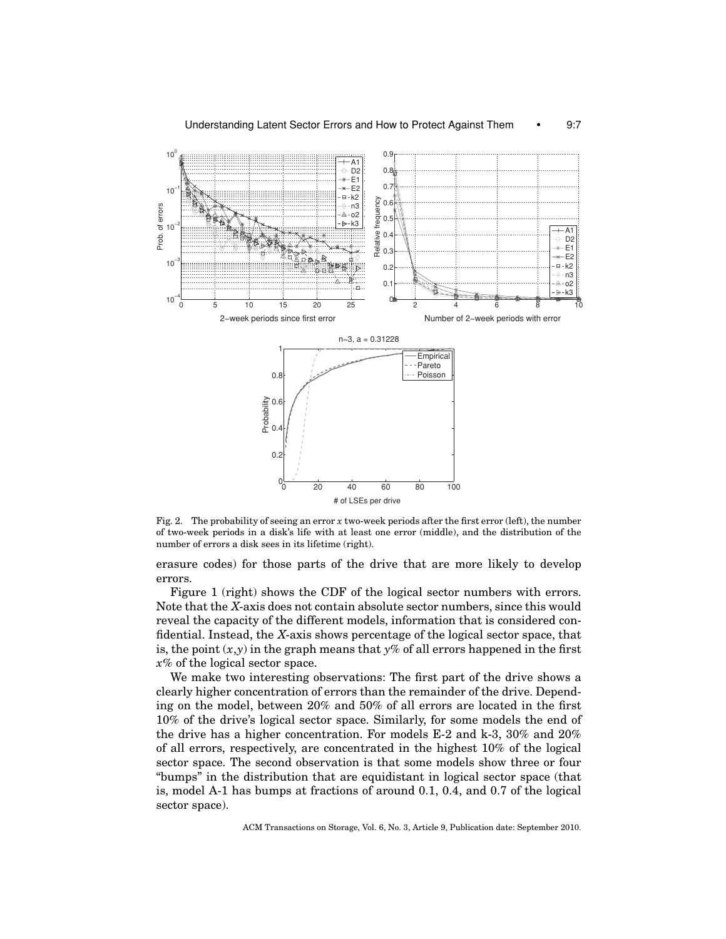

Fig. 2. The probability of seeing an error *x* two-week periods after the first error (left), the number of two-week periods in a disk's life with at least one error (middle), and the distribution of the number of errors a disk sees in its lifetime (right).

erasure codes) for those parts of the drive that are more likely to develop errors.

Figure 1 (right) shows the CDF of the logical sector numbers with errors. Note that the *X*-axis does not contain absolute sector numbers, since this would reveal the capacity of the different models, information that is considered confidential. Instead, the *X*-axis shows percentage of the logical sector space, that is, the point  $(x,y)$  in the graph means that  $y\%$  of all errors happened in the first *x*% of the logical sector space.

We make two interesting observations: The first part of the drive shows a clearly higher concentration of errors than the remainder of the drive. Depending on the model, between 20% and 50% of all errors are located in the first 10% of the drive's logical sector space. Similarly, for some models the end of the drive has a higher concentration. For models E-2 and k-3, 30% and 20% of all errors, respectively, are concentrated in the highest 10% of the logical sector space. The second observation is that some models show three or four "bumps" in the distribution that are equidistant in logical sector space (that is, model A-1 has bumps at fractions of around 0.1, 0.4, and 0.7 of the logical sector space).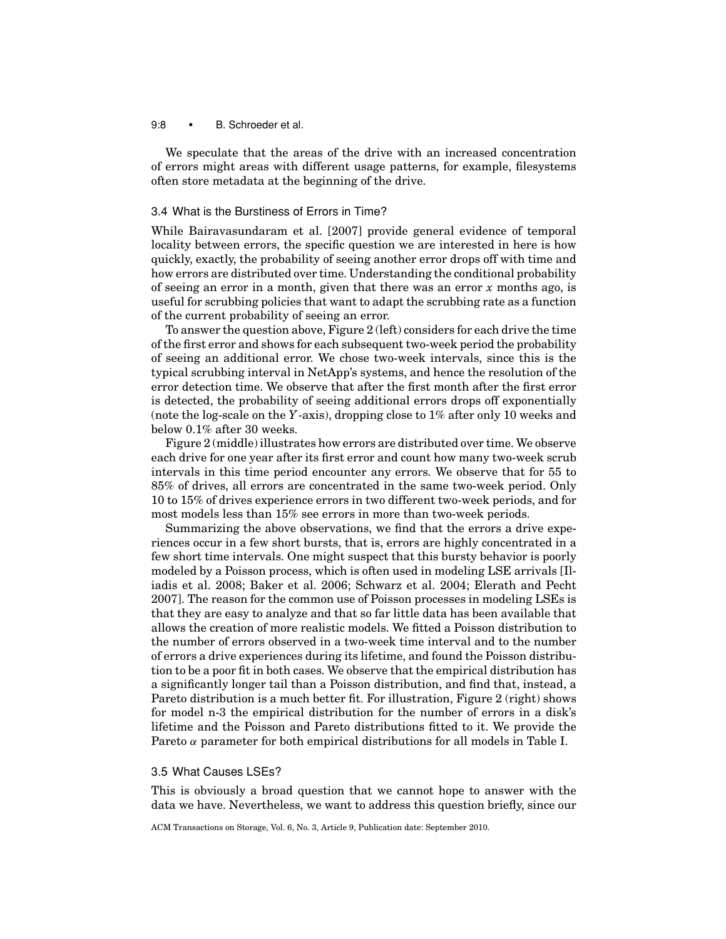## 9:8 • B. Schroeder et al.

We speculate that the areas of the drive with an increased concentration of errors might areas with different usage patterns, for example, filesystems often store metadata at the beginning of the drive.

#### 3.4 What is the Burstiness of Errors in Time?

While Bairavasundaram et al. [2007] provide general evidence of temporal locality between errors, the specific question we are interested in here is how quickly, exactly, the probability of seeing another error drops off with time and how errors are distributed over time. Understanding the conditional probability of seeing an error in a month, given that there was an error *x* months ago, is useful for scrubbing policies that want to adapt the scrubbing rate as a function of the current probability of seeing an error.

To answer the question above, Figure 2 (left) considers for each drive the time of the first error and shows for each subsequent two-week period the probability of seeing an additional error. We chose two-week intervals, since this is the typical scrubbing interval in NetApp's systems, and hence the resolution of the error detection time. We observe that after the first month after the first error is detected, the probability of seeing additional errors drops off exponentially (note the log-scale on the *Y*-axis), dropping close to 1% after only 10 weeks and below 0.1% after 30 weeks.

Figure 2 (middle) illustrates how errors are distributed over time. We observe each drive for one year after its first error and count how many two-week scrub intervals in this time period encounter any errors. We observe that for 55 to 85% of drives, all errors are concentrated in the same two-week period. Only 10 to 15% of drives experience errors in two different two-week periods, and for most models less than 15% see errors in more than two-week periods.

Summarizing the above observations, we find that the errors a drive experiences occur in a few short bursts, that is, errors are highly concentrated in a few short time intervals. One might suspect that this bursty behavior is poorly modeled by a Poisson process, which is often used in modeling LSE arrivals [Iliadis et al. 2008; Baker et al. 2006; Schwarz et al. 2004; Elerath and Pecht 2007]. The reason for the common use of Poisson processes in modeling LSEs is that they are easy to analyze and that so far little data has been available that allows the creation of more realistic models. We fitted a Poisson distribution to the number of errors observed in a two-week time interval and to the number of errors a drive experiences during its lifetime, and found the Poisson distribution to be a poor fit in both cases. We observe that the empirical distribution has a significantly longer tail than a Poisson distribution, and find that, instead, a Pareto distribution is a much better fit. For illustration, Figure 2 (right) shows for model n-3 the empirical distribution for the number of errors in a disk's lifetime and the Poisson and Pareto distributions fitted to it. We provide the Pareto  $\alpha$  parameter for both empirical distributions for all models in Table I.

#### 3.5 What Causes LSEs?

This is obviously a broad question that we cannot hope to answer with the data we have. Nevertheless, we want to address this question briefly, since our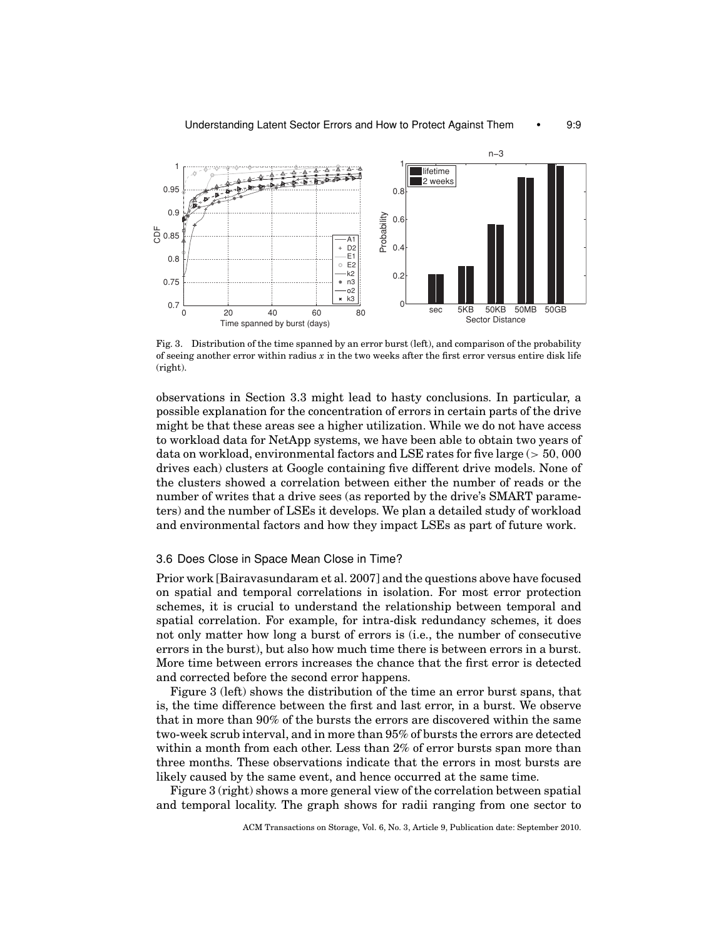

Fig. 3. Distribution of the time spanned by an error burst (left), and comparison of the probability of seeing another error within radius *x* in the two weeks after the first error versus entire disk life (right).

observations in Section 3.3 might lead to hasty conclusions. In particular, a possible explanation for the concentration of errors in certain parts of the drive might be that these areas see a higher utilization. While we do not have access to workload data for NetApp systems, we have been able to obtain two years of data on workload, environmental factors and LSE rates for five large  $(>50,000)$ drives each) clusters at Google containing five different drive models. None of the clusters showed a correlation between either the number of reads or the number of writes that a drive sees (as reported by the drive's SMART parameters) and the number of LSEs it develops. We plan a detailed study of workload and environmental factors and how they impact LSEs as part of future work.

#### 3.6 Does Close in Space Mean Close in Time?

Prior work [Bairavasundaram et al. 2007] and the questions above have focused on spatial and temporal correlations in isolation. For most error protection schemes, it is crucial to understand the relationship between temporal and spatial correlation. For example, for intra-disk redundancy schemes, it does not only matter how long a burst of errors is (i.e., the number of consecutive errors in the burst), but also how much time there is between errors in a burst. More time between errors increases the chance that the first error is detected and corrected before the second error happens.

Figure 3 (left) shows the distribution of the time an error burst spans, that is, the time difference between the first and last error, in a burst. We observe that in more than 90% of the bursts the errors are discovered within the same two-week scrub interval, and in more than 95% of bursts the errors are detected within a month from each other. Less than 2% of error bursts span more than three months. These observations indicate that the errors in most bursts are likely caused by the same event, and hence occurred at the same time.

Figure 3 (right) shows a more general view of the correlation between spatial and temporal locality. The graph shows for radii ranging from one sector to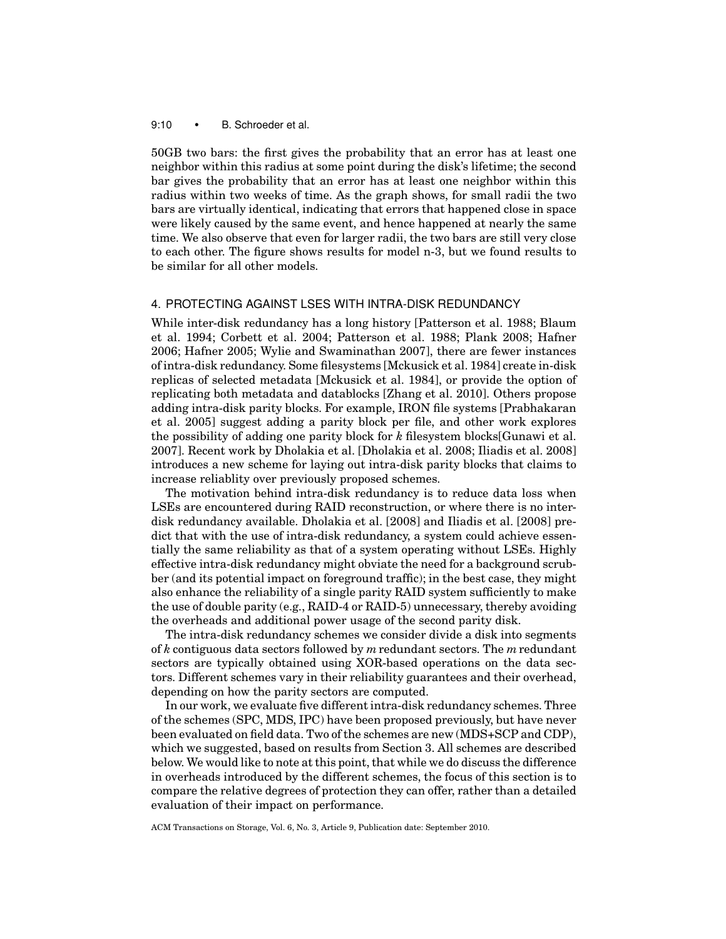## 9:10 • B. Schroeder et al.

50GB two bars: the first gives the probability that an error has at least one neighbor within this radius at some point during the disk's lifetime; the second bar gives the probability that an error has at least one neighbor within this radius within two weeks of time. As the graph shows, for small radii the two bars are virtually identical, indicating that errors that happened close in space were likely caused by the same event, and hence happened at nearly the same time. We also observe that even for larger radii, the two bars are still very close to each other. The figure shows results for model n-3, but we found results to be similar for all other models.

## 4. PROTECTING AGAINST LSES WITH INTRA-DISK REDUNDANCY

While inter-disk redundancy has a long history [Patterson et al. 1988; Blaum et al. 1994; Corbett et al. 2004; Patterson et al. 1988; Plank 2008; Hafner 2006; Hafner 2005; Wylie and Swaminathan 2007], there are fewer instances of intra-disk redundancy. Some filesystems [Mckusick et al. 1984] create in-disk replicas of selected metadata [Mckusick et al. 1984], or provide the option of replicating both metadata and datablocks [Zhang et al. 2010]. Others propose adding intra-disk parity blocks. For example, IRON file systems [Prabhakaran et al. 2005] suggest adding a parity block per file, and other work explores the possibility of adding one parity block for *k* filesystem blocks[Gunawi et al. 2007]. Recent work by Dholakia et al. [Dholakia et al. 2008; Iliadis et al. 2008] introduces a new scheme for laying out intra-disk parity blocks that claims to increase reliablity over previously proposed schemes.

The motivation behind intra-disk redundancy is to reduce data loss when LSEs are encountered during RAID reconstruction, or where there is no interdisk redundancy available. Dholakia et al. [2008] and Iliadis et al. [2008] predict that with the use of intra-disk redundancy, a system could achieve essentially the same reliability as that of a system operating without LSEs. Highly effective intra-disk redundancy might obviate the need for a background scrubber (and its potential impact on foreground traffic); in the best case, they might also enhance the reliability of a single parity RAID system sufficiently to make the use of double parity (e.g., RAID-4 or RAID-5) unnecessary, thereby avoiding the overheads and additional power usage of the second parity disk.

The intra-disk redundancy schemes we consider divide a disk into segments of *k* contiguous data sectors followed by *m*redundant sectors. The *m*redundant sectors are typically obtained using XOR-based operations on the data sectors. Different schemes vary in their reliability guarantees and their overhead, depending on how the parity sectors are computed.

In our work, we evaluate five different intra-disk redundancy schemes. Three of the schemes (SPC, MDS, IPC) have been proposed previously, but have never been evaluated on field data. Two of the schemes are new (MDS+SCP and CDP), which we suggested, based on results from Section 3. All schemes are described below. We would like to note at this point, that while we do discuss the difference in overheads introduced by the different schemes, the focus of this section is to compare the relative degrees of protection they can offer, rather than a detailed evaluation of their impact on performance.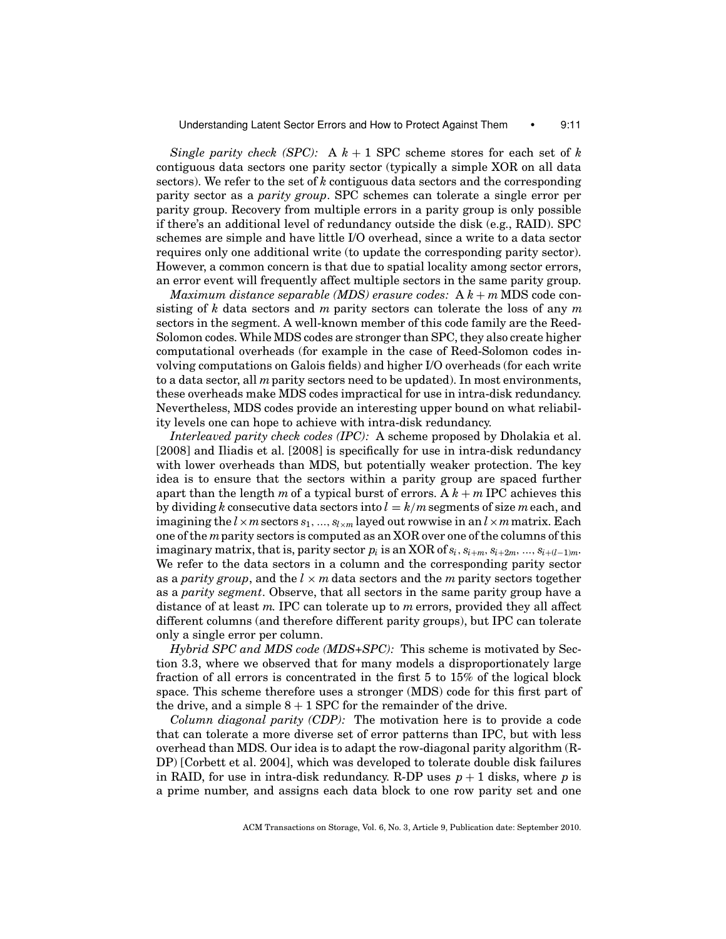*Single parity check (SPC):* A  $k + 1$  SPC scheme stores for each set of k contiguous data sectors one parity sector (typically a simple XOR on all data sectors). We refer to the set of *k* contiguous data sectors and the corresponding parity sector as a *parity group*. SPC schemes can tolerate a single error per parity group. Recovery from multiple errors in a parity group is only possible if there's an additional level of redundancy outside the disk (e.g., RAID). SPC schemes are simple and have little I/O overhead, since a write to a data sector requires only one additional write (to update the corresponding parity sector). However, a common concern is that due to spatial locality among sector errors, an error event will frequently affect multiple sectors in the same parity group.

*Maximum distance separable (MDS) erasure codes:* A *k* + *m* MDS code consisting of *k* data sectors and *m* parity sectors can tolerate the loss of any *m* sectors in the segment. A well-known member of this code family are the Reed-Solomon codes. While MDS codes are stronger than SPC, they also create higher computational overheads (for example in the case of Reed-Solomon codes involving computations on Galois fields) and higher I/O overheads (for each write to a data sector, all *m*parity sectors need to be updated). In most environments, these overheads make MDS codes impractical for use in intra-disk redundancy. Nevertheless, MDS codes provide an interesting upper bound on what reliability levels one can hope to achieve with intra-disk redundancy.

*Interleaved parity check codes (IPC):* A scheme proposed by Dholakia et al. [2008] and Iliadis et al. [2008] is specifically for use in intra-disk redundancy with lower overheads than MDS, but potentially weaker protection. The key idea is to ensure that the sectors within a parity group are spaced further apart than the length *m* of a typical burst of errors. A  $k + m$  IPC achieves this by dividing *k* consecutive data sectors into  $l = k/m$  segments of size *m* each, and imagining the  $l \times m$  sectors  $s_1, ..., s_{l \times m}$  layed out rowwise in an  $l \times m$  matrix. Each one of the *m*parity sectors is computed as an XOR over one of the columns of this imaginary matrix, that is, parity sector  $p_i$  is an XOR of  $s_i$ ,  $s_{i+m}$ ,  $s_{i+2m}$ , ...,  $s_{i+(l-1)m}$ . We refer to the data sectors in a column and the corresponding parity sector as a *parity group*, and the  $l \times m$  data sectors and the *m* parity sectors together as a *parity segment*. Observe, that all sectors in the same parity group have a distance of at least *m*. IPC can tolerate up to *m* errors, provided they all affect different columns (and therefore different parity groups), but IPC can tolerate only a single error per column.

*Hybrid SPC and MDS code (MDS+SPC):* This scheme is motivated by Section 3.3, where we observed that for many models a disproportionately large fraction of all errors is concentrated in the first 5 to 15% of the logical block space. This scheme therefore uses a stronger (MDS) code for this first part of the drive, and a simple  $8 + 1$  SPC for the remainder of the drive.

*Column diagonal parity (CDP):* The motivation here is to provide a code that can tolerate a more diverse set of error patterns than IPC, but with less overhead than MDS. Our idea is to adapt the row-diagonal parity algorithm (R-DP) [Corbett et al. 2004], which was developed to tolerate double disk failures in RAID, for use in intra-disk redundancy. R-DP uses  $p + 1$  disks, where p is a prime number, and assigns each data block to one row parity set and one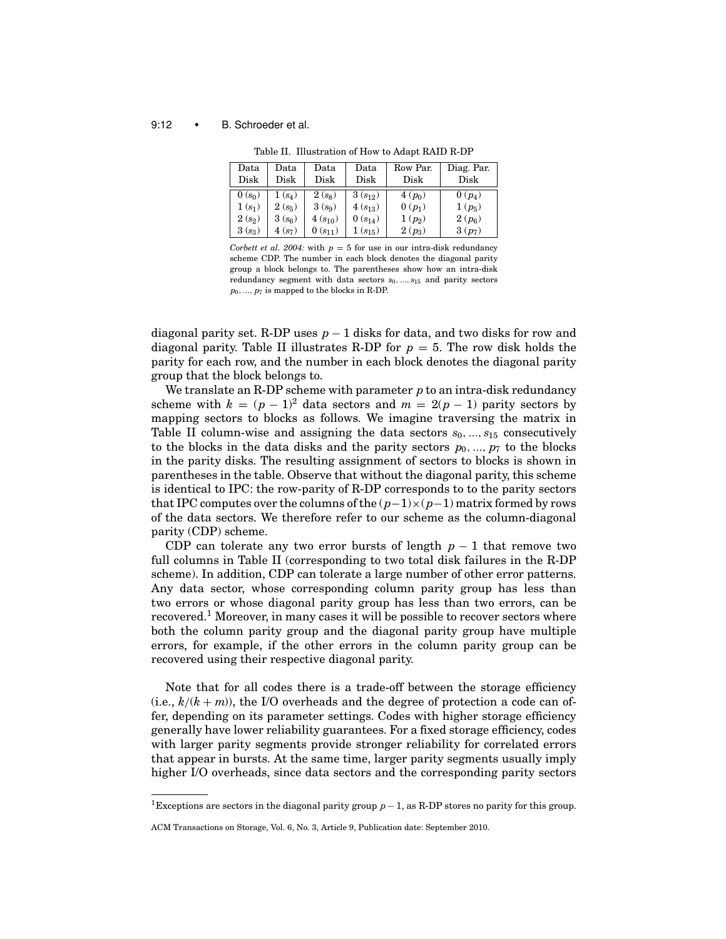#### 9:12 • B. Schroeder et al.

| Data     | Data          | Data          | Data        | Row Par. | Diag. Par. |
|----------|---------------|---------------|-------------|----------|------------|
| Disk     | $_{\rm Disk}$ | $_{\rm Disk}$ | Disk        | Disk     | Disk       |
| $0(s_0)$ | $1(s_4)$      | $2(s_8)$      | $3(s_{12})$ | $4(p_0)$ | $0(p_4)$   |
| $1(s_1)$ | $2(s_5)$      | $3(s_9)$      | $4(s_{13})$ | $0(p_1)$ | $1(p_5)$   |
| $2(s_2)$ | $3(s_6)$      | $4(s_{10})$   | $0(s_{14})$ | $1(p_2)$ | $2(p_6)$   |
| $3(s_3)$ | $4(s_7)$      | $0(s_{11})$   | $1(s_{15})$ | $2(p_3)$ | $3(p_7)$   |

Table II. Illustration of How to Adapt RAID R-DP

*Corbett et al. 2004:* with  $p = 5$  for use in our intra-disk redundancy scheme CDP. The number in each block denotes the diagonal parity group a block belongs to. The parentheses show how an intra-disk redundancy segment with data sectors *s*0, ..., *s*<sup>15</sup> and parity sectors  $p_0, ..., p_7$  is mapped to the blocks in R-DP.

diagonal parity set. R-DP uses  $p-1$  disks for data, and two disks for row and diagonal parity. Table II illustrates R-DP for  $p = 5$ . The row disk holds the parity for each row, and the number in each block denotes the diagonal parity group that the block belongs to.

We translate an R-DP scheme with parameter *p* to an intra-disk redundancy scheme with  $k = (p - 1)^2$  data sectors and  $m = 2(p - 1)$  parity sectors by mapping sectors to blocks as follows. We imagine traversing the matrix in Table II column-wise and assigning the data sectors  $s_0, ..., s_{15}$  consecutively to the blocks in the data disks and the parity sectors  $p_0, ..., p_7$  to the blocks in the parity disks. The resulting assignment of sectors to blocks is shown in parentheses in the table. Observe that without the diagonal parity, this scheme is identical to IPC: the row-parity of R-DP corresponds to to the parity sectors that IPC computes over the columns of the  $(p-1)\times(p-1)$  matrix formed by rows of the data sectors. We therefore refer to our scheme as the column-diagonal parity (CDP) scheme.

CDP can tolerate any two error bursts of length  $p-1$  that remove two full columns in Table II (corresponding to two total disk failures in the R-DP scheme). In addition, CDP can tolerate a large number of other error patterns. Any data sector, whose corresponding column parity group has less than two errors or whose diagonal parity group has less than two errors, can be recovered.<sup>1</sup> Moreover, in many cases it will be possible to recover sectors where both the column parity group and the diagonal parity group have multiple errors, for example, if the other errors in the column parity group can be recovered using their respective diagonal parity.

Note that for all codes there is a trade-off between the storage efficiency  $(i.e., k/(k+m))$ , the I/O overheads and the degree of protection a code can offer, depending on its parameter settings. Codes with higher storage efficiency generally have lower reliability guarantees. For a fixed storage efficiency, codes with larger parity segments provide stronger reliability for correlated errors that appear in bursts. At the same time, larger parity segments usually imply higher I/O overheads, since data sectors and the corresponding parity sectors

<sup>1</sup>Exceptions are sectors in the diagonal parity group *<sup>p</sup>*<sup>−</sup> 1, as R-DP stores no parity for this group.

ACM Transactions on Storage, Vol. 6, No. 3, Article 9, Publication date: September 2010.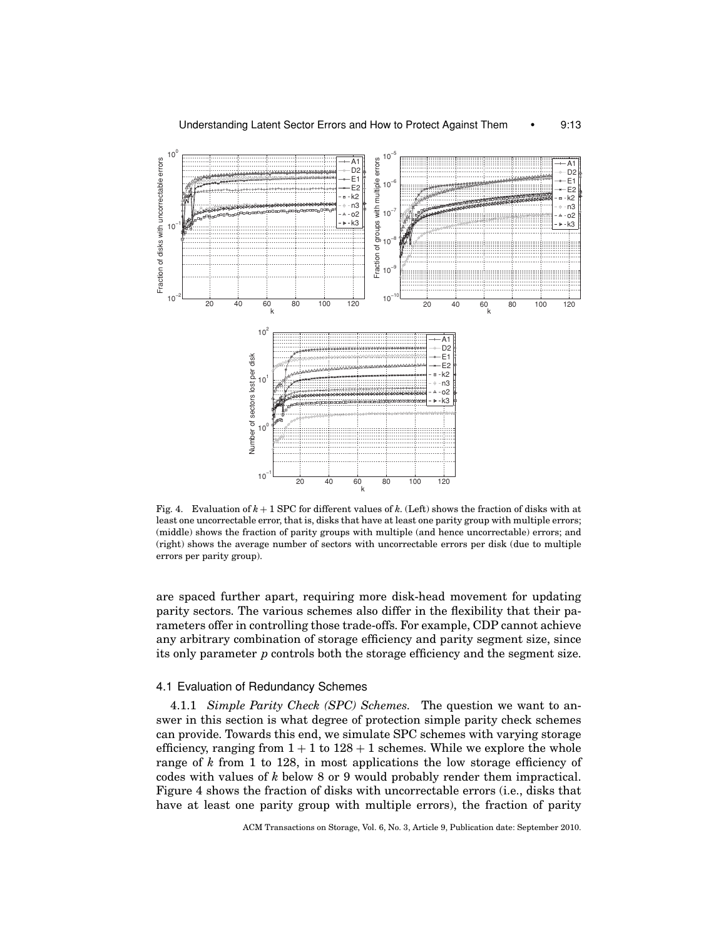

Fig. 4. Evaluation of  $k + 1$  SPC for different values of  $k$ . (Left) shows the fraction of disks with at least one uncorrectable error, that is, disks that have at least one parity group with multiple errors; (middle) shows the fraction of parity groups with multiple (and hence uncorrectable) errors; and (right) shows the average number of sectors with uncorrectable errors per disk (due to multiple errors per parity group).

are spaced further apart, requiring more disk-head movement for updating parity sectors. The various schemes also differ in the flexibility that their parameters offer in controlling those trade-offs. For example, CDP cannot achieve any arbitrary combination of storage efficiency and parity segment size, since its only parameter *p* controls both the storage efficiency and the segment size.

# 4.1 Evaluation of Redundancy Schemes

4.1.1 *Simple Parity Check (SPC) Schemes.* The question we want to answer in this section is what degree of protection simple parity check schemes can provide. Towards this end, we simulate SPC schemes with varying storage efficiency, ranging from  $1 + 1$  to  $128 + 1$  schemes. While we explore the whole range of *k* from 1 to 128, in most applications the low storage efficiency of codes with values of *k* below 8 or 9 would probably render them impractical. Figure 4 shows the fraction of disks with uncorrectable errors (i.e., disks that have at least one parity group with multiple errors), the fraction of parity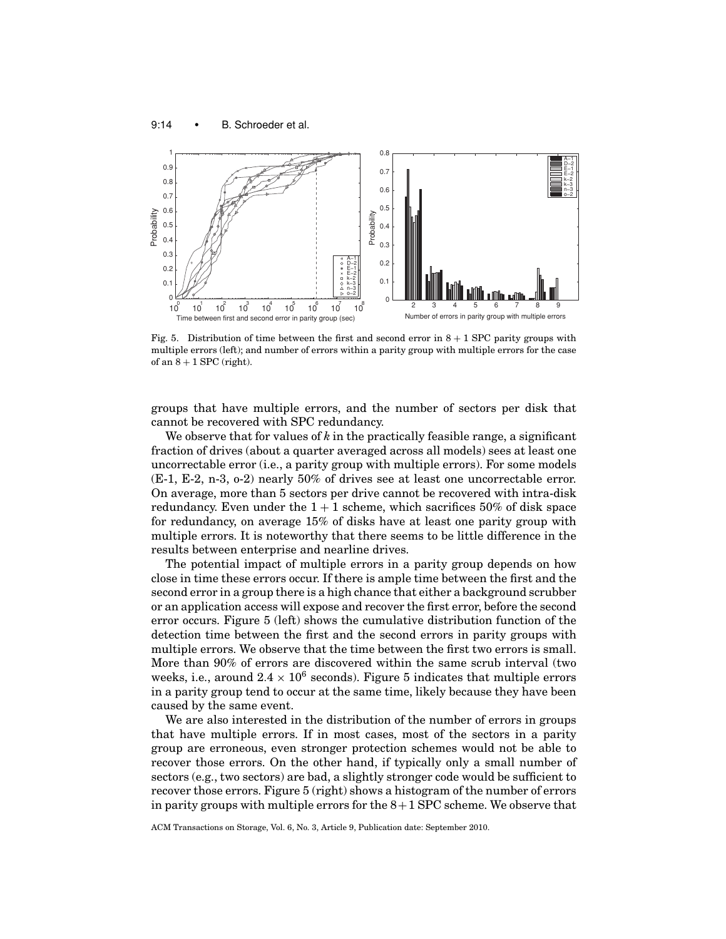

Fig. 5. Distribution of time between the first and second error in  $8 + 1$  SPC parity groups with multiple errors (left); and number of errors within a parity group with multiple errors for the case of an  $8 + 1$  SPC (right).

groups that have multiple errors, and the number of sectors per disk that cannot be recovered with SPC redundancy.

We observe that for values of *k* in the practically feasible range, a significant fraction of drives (about a quarter averaged across all models) sees at least one uncorrectable error (i.e., a parity group with multiple errors). For some models (E-1, E-2, n-3, o-2) nearly 50% of drives see at least one uncorrectable error. On average, more than 5 sectors per drive cannot be recovered with intra-disk redundancy. Even under the  $1 + 1$  scheme, which sacrifices 50% of disk space for redundancy, on average 15% of disks have at least one parity group with multiple errors. It is noteworthy that there seems to be little difference in the results between enterprise and nearline drives.

The potential impact of multiple errors in a parity group depends on how close in time these errors occur. If there is ample time between the first and the second error in a group there is a high chance that either a background scrubber or an application access will expose and recover the first error, before the second error occurs. Figure 5 (left) shows the cumulative distribution function of the detection time between the first and the second errors in parity groups with multiple errors. We observe that the time between the first two errors is small. More than 90% of errors are discovered within the same scrub interval (two weeks, i.e., around  $2.4 \times 10^6$  seconds). Figure 5 indicates that multiple errors in a parity group tend to occur at the same time, likely because they have been caused by the same event.

We are also interested in the distribution of the number of errors in groups that have multiple errors. If in most cases, most of the sectors in a parity group are erroneous, even stronger protection schemes would not be able to recover those errors. On the other hand, if typically only a small number of sectors (e.g., two sectors) are bad, a slightly stronger code would be sufficient to recover those errors. Figure 5 (right) shows a histogram of the number of errors in parity groups with multiple errors for the  $8+1$  SPC scheme. We observe that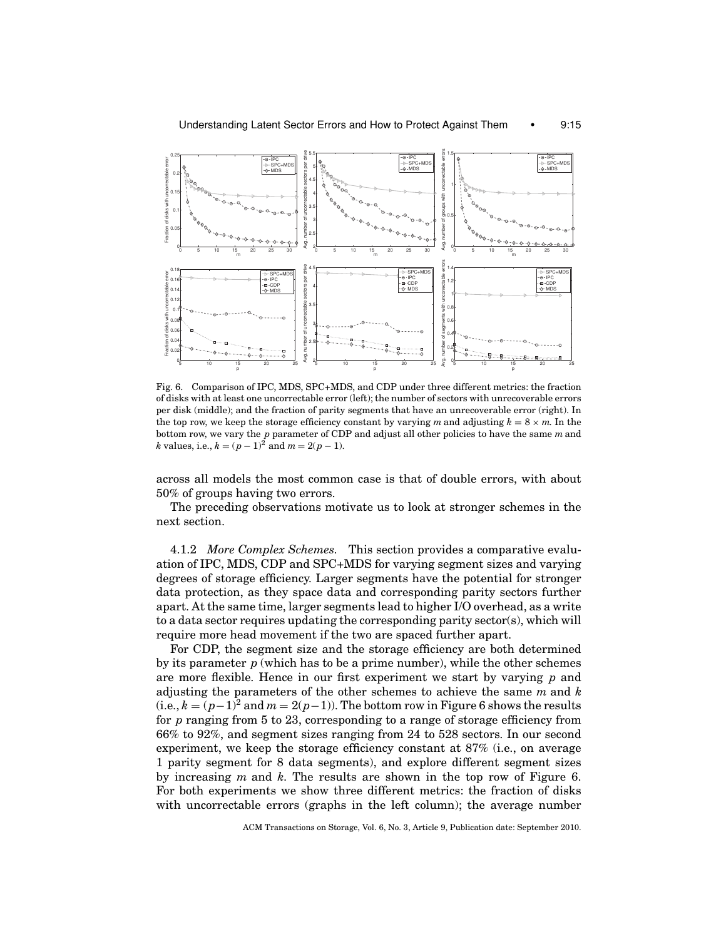

Fig. 6. Comparison of IPC, MDS, SPC+MDS, and CDP under three different metrics: the fraction of disks with at least one uncorrectable error (left); the number of sectors with unrecoverable errors per disk (middle); and the fraction of parity segments that have an unrecoverable error (right). In the top row, we keep the storage efficiency constant by varying *m* and adjusting  $k = 8 \times m$ . In the bottom row, we vary the *p* parameter of CDP and adjust all other policies to have the same *m* and *k* values, i.e.,  $k = (p - 1)^2$  and  $m = 2(p - 1)$ .

across all models the most common case is that of double errors, with about 50% of groups having two errors.

The preceding observations motivate us to look at stronger schemes in the next section.

4.1.2 *More Complex Schemes.* This section provides a comparative evaluation of IPC, MDS, CDP and SPC+MDS for varying segment sizes and varying degrees of storage efficiency. Larger segments have the potential for stronger data protection, as they space data and corresponding parity sectors further apart. At the same time, larger segments lead to higher I/O overhead, as a write to a data sector requires updating the corresponding parity sector(s), which will require more head movement if the two are spaced further apart.

For CDP, the segment size and the storage efficiency are both determined by its parameter *p* (which has to be a prime number), while the other schemes are more flexible. Hence in our first experiment we start by varying *p* and adjusting the parameters of the other schemes to achieve the same *m* and *k*  $(i.e., k = (p-1)^2$  and  $m = 2(p-1)$ ). The bottom row in Figure 6 shows the results for *p* ranging from 5 to 23, corresponding to a range of storage efficiency from 66% to 92%, and segment sizes ranging from 24 to 528 sectors. In our second experiment, we keep the storage efficiency constant at 87% (i.e., on average 1 parity segment for 8 data segments), and explore different segment sizes by increasing *m* and *k*. The results are shown in the top row of Figure 6. For both experiments we show three different metrics: the fraction of disks with uncorrectable errors (graphs in the left column); the average number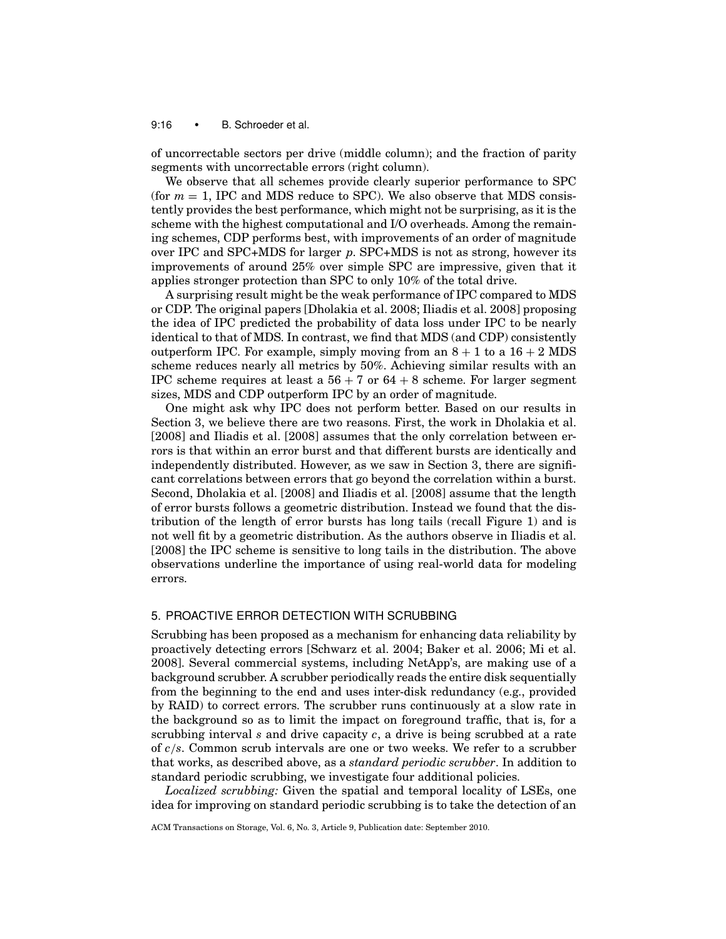#### 9:16 • B. Schroeder et al.

of uncorrectable sectors per drive (middle column); and the fraction of parity segments with uncorrectable errors (right column).

We observe that all schemes provide clearly superior performance to SPC (for  $m = 1$ , IPC and MDS reduce to SPC). We also observe that MDS consistently provides the best performance, which might not be surprising, as it is the scheme with the highest computational and I/O overheads. Among the remaining schemes, CDP performs best, with improvements of an order of magnitude over IPC and SPC+MDS for larger *p*. SPC+MDS is not as strong, however its improvements of around 25% over simple SPC are impressive, given that it applies stronger protection than SPC to only 10% of the total drive.

A surprising result might be the weak performance of IPC compared to MDS or CDP. The original papers [Dholakia et al. 2008; Iliadis et al. 2008] proposing the idea of IPC predicted the probability of data loss under IPC to be nearly identical to that of MDS. In contrast, we find that MDS (and CDP) consistently outperform IPC. For example, simply moving from an  $8 + 1$  to a  $16 + 2$  MDS scheme reduces nearly all metrics by 50%. Achieving similar results with an IPC scheme requires at least a  $56 + 7$  or  $64 + 8$  scheme. For larger segment sizes, MDS and CDP outperform IPC by an order of magnitude.

One might ask why IPC does not perform better. Based on our results in Section 3, we believe there are two reasons. First, the work in Dholakia et al. [2008] and Iliadis et al. [2008] assumes that the only correlation between errors is that within an error burst and that different bursts are identically and independently distributed. However, as we saw in Section 3, there are significant correlations between errors that go beyond the correlation within a burst. Second, Dholakia et al. [2008] and Iliadis et al. [2008] assume that the length of error bursts follows a geometric distribution. Instead we found that the distribution of the length of error bursts has long tails (recall Figure 1) and is not well fit by a geometric distribution. As the authors observe in Iliadis et al. [2008] the IPC scheme is sensitive to long tails in the distribution. The above observations underline the importance of using real-world data for modeling errors.

## 5. PROACTIVE ERROR DETECTION WITH SCRUBBING

Scrubbing has been proposed as a mechanism for enhancing data reliability by proactively detecting errors [Schwarz et al. 2004; Baker et al. 2006; Mi et al. 2008]. Several commercial systems, including NetApp's, are making use of a background scrubber. A scrubber periodically reads the entire disk sequentially from the beginning to the end and uses inter-disk redundancy (e.g., provided by RAID) to correct errors. The scrubber runs continuously at a slow rate in the background so as to limit the impact on foreground traffic, that is, for a scrubbing interval *s* and drive capacity *c*, a drive is being scrubbed at a rate of *c*/*s*. Common scrub intervals are one or two weeks. We refer to a scrubber that works, as described above, as a *standard periodic scrubber*. In addition to standard periodic scrubbing, we investigate four additional policies.

*Localized scrubbing:* Given the spatial and temporal locality of LSEs, one idea for improving on standard periodic scrubbing is to take the detection of an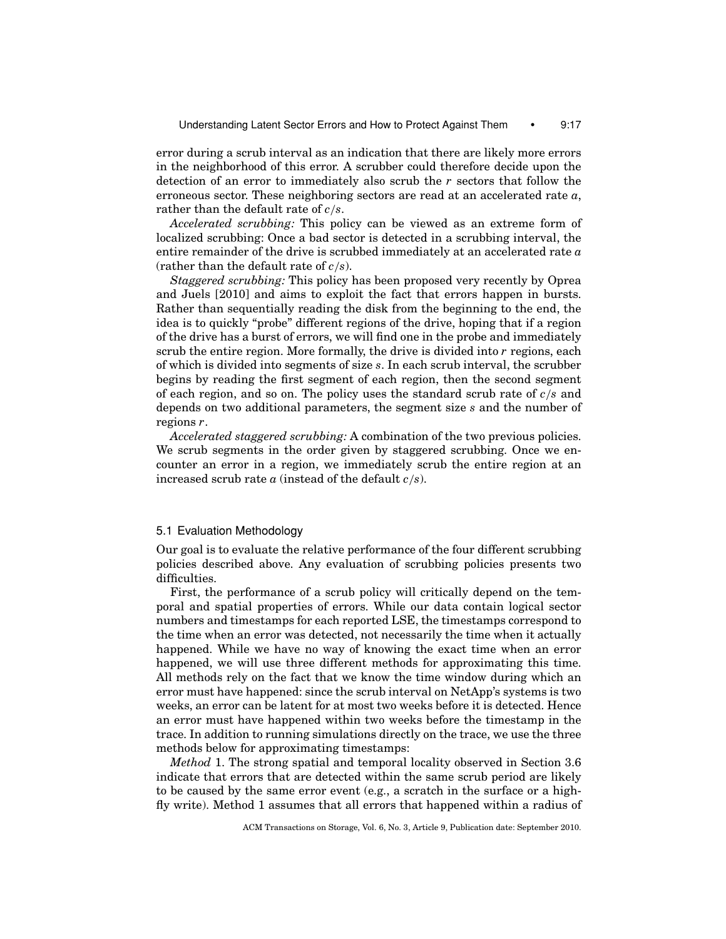error during a scrub interval as an indication that there are likely more errors in the neighborhood of this error. A scrubber could therefore decide upon the detection of an error to immediately also scrub the *r* sectors that follow the erroneous sector. These neighboring sectors are read at an accelerated rate *a*, rather than the default rate of *c*/*s*.

*Accelerated scrubbing:* This policy can be viewed as an extreme form of localized scrubbing: Once a bad sector is detected in a scrubbing interval, the entire remainder of the drive is scrubbed immediately at an accelerated rate *a* (rather than the default rate of *c*/*s*).

*Staggered scrubbing:* This policy has been proposed very recently by Oprea and Juels [2010] and aims to exploit the fact that errors happen in bursts. Rather than sequentially reading the disk from the beginning to the end, the idea is to quickly "probe" different regions of the drive, hoping that if a region of the drive has a burst of errors, we will find one in the probe and immediately scrub the entire region. More formally, the drive is divided into *r* regions, each of which is divided into segments of size *s*. In each scrub interval, the scrubber begins by reading the first segment of each region, then the second segment of each region, and so on. The policy uses the standard scrub rate of *c*/*s* and depends on two additional parameters, the segment size *s* and the number of regions *r*.

*Accelerated staggered scrubbing:* A combination of the two previous policies. We scrub segments in the order given by staggered scrubbing. Once we encounter an error in a region, we immediately scrub the entire region at an increased scrub rate *a* (instead of the default *c*/*s*).

#### 5.1 Evaluation Methodology

Our goal is to evaluate the relative performance of the four different scrubbing policies described above. Any evaluation of scrubbing policies presents two difficulties.

First, the performance of a scrub policy will critically depend on the temporal and spatial properties of errors. While our data contain logical sector numbers and timestamps for each reported LSE, the timestamps correspond to the time when an error was detected, not necessarily the time when it actually happened. While we have no way of knowing the exact time when an error happened, we will use three different methods for approximating this time. All methods rely on the fact that we know the time window during which an error must have happened: since the scrub interval on NetApp's systems is two weeks, an error can be latent for at most two weeks before it is detected. Hence an error must have happened within two weeks before the timestamp in the trace. In addition to running simulations directly on the trace, we use the three methods below for approximating timestamps:

*Method* 1. The strong spatial and temporal locality observed in Section 3.6 indicate that errors that are detected within the same scrub period are likely to be caused by the same error event (e.g., a scratch in the surface or a highfly write). Method 1 assumes that all errors that happened within a radius of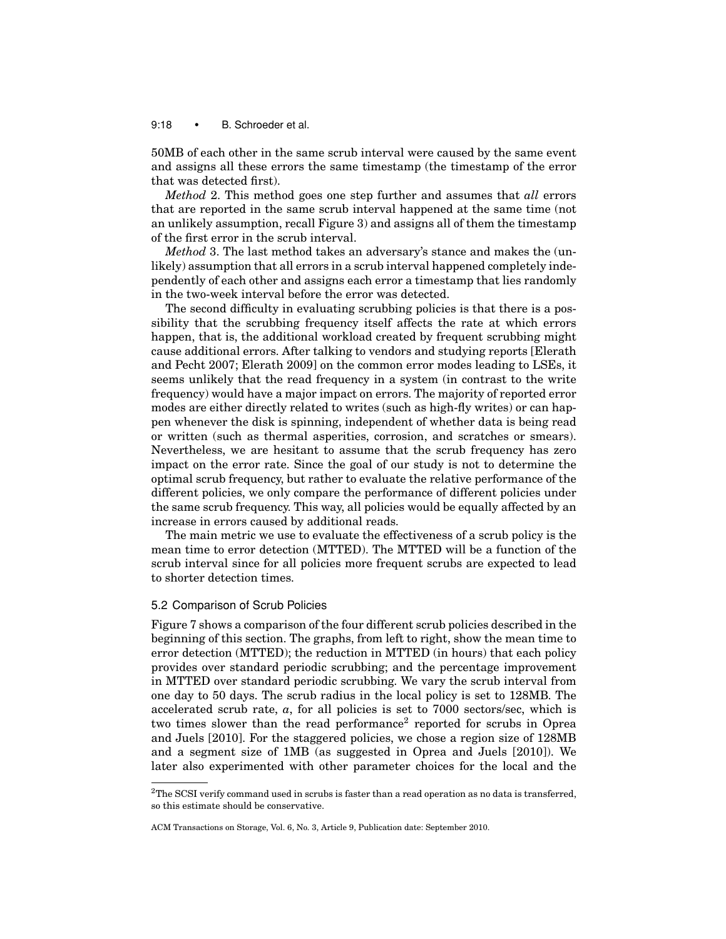## 9:18 • B. Schroeder et al.

50MB of each other in the same scrub interval were caused by the same event and assigns all these errors the same timestamp (the timestamp of the error that was detected first).

*Method* 2. This method goes one step further and assumes that *all* errors that are reported in the same scrub interval happened at the same time (not an unlikely assumption, recall Figure 3) and assigns all of them the timestamp of the first error in the scrub interval.

*Method* 3. The last method takes an adversary's stance and makes the (unlikely) assumption that all errors in a scrub interval happened completely independently of each other and assigns each error a timestamp that lies randomly in the two-week interval before the error was detected.

The second difficulty in evaluating scrubbing policies is that there is a possibility that the scrubbing frequency itself affects the rate at which errors happen, that is, the additional workload created by frequent scrubbing might cause additional errors. After talking to vendors and studying reports [Elerath and Pecht 2007; Elerath 2009] on the common error modes leading to LSEs, it seems unlikely that the read frequency in a system (in contrast to the write frequency) would have a major impact on errors. The majority of reported error modes are either directly related to writes (such as high-fly writes) or can happen whenever the disk is spinning, independent of whether data is being read or written (such as thermal asperities, corrosion, and scratches or smears). Nevertheless, we are hesitant to assume that the scrub frequency has zero impact on the error rate. Since the goal of our study is not to determine the optimal scrub frequency, but rather to evaluate the relative performance of the different policies, we only compare the performance of different policies under the same scrub frequency. This way, all policies would be equally affected by an increase in errors caused by additional reads.

The main metric we use to evaluate the effectiveness of a scrub policy is the mean time to error detection (MTTED). The MTTED will be a function of the scrub interval since for all policies more frequent scrubs are expected to lead to shorter detection times.

#### 5.2 Comparison of Scrub Policies

Figure 7 shows a comparison of the four different scrub policies described in the beginning of this section. The graphs, from left to right, show the mean time to error detection (MTTED); the reduction in MTTED (in hours) that each policy provides over standard periodic scrubbing; and the percentage improvement in MTTED over standard periodic scrubbing. We vary the scrub interval from one day to 50 days. The scrub radius in the local policy is set to 128MB. The accelerated scrub rate, *a*, for all policies is set to 7000 sectors/sec, which is two times slower than the read performance<sup>2</sup> reported for scrubs in Oprea and Juels [2010]. For the staggered policies, we chose a region size of 128MB and a segment size of 1MB (as suggested in Oprea and Juels [2010]). We later also experimented with other parameter choices for the local and the

<sup>2</sup>The SCSI verify command used in scrubs is faster than a read operation as no data is transferred, so this estimate should be conservative.

ACM Transactions on Storage, Vol. 6, No. 3, Article 9, Publication date: September 2010.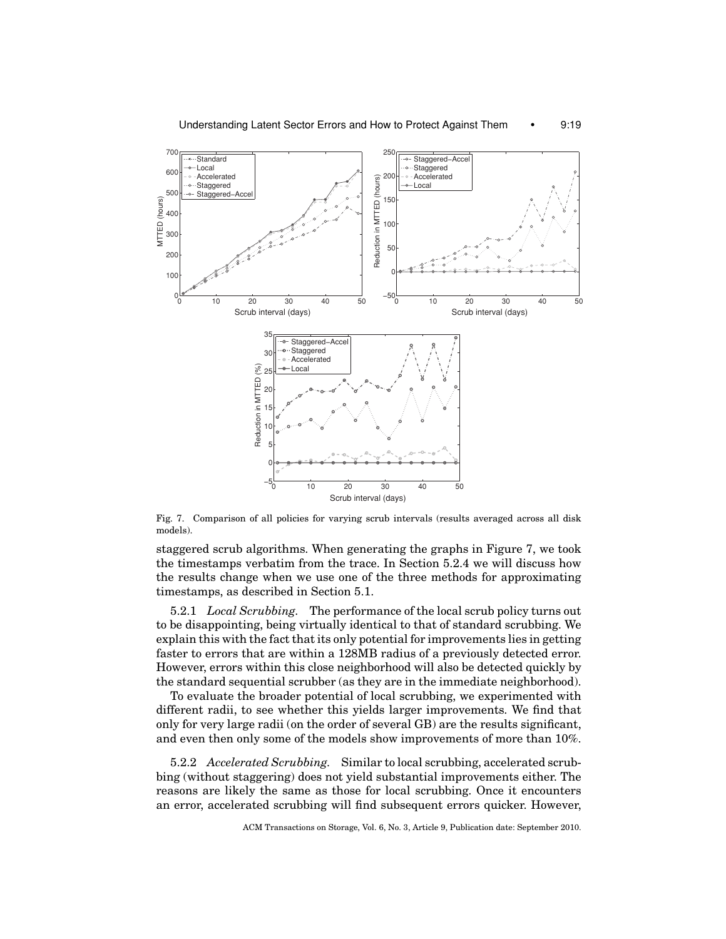

Fig. 7. Comparison of all policies for varying scrub intervals (results averaged across all disk models).

staggered scrub algorithms. When generating the graphs in Figure 7, we took the timestamps verbatim from the trace. In Section 5.2.4 we will discuss how the results change when we use one of the three methods for approximating timestamps, as described in Section 5.1.

5.2.1 *Local Scrubbing.* The performance of the local scrub policy turns out to be disappointing, being virtually identical to that of standard scrubbing. We explain this with the fact that its only potential for improvements lies in getting faster to errors that are within a 128MB radius of a previously detected error. However, errors within this close neighborhood will also be detected quickly by the standard sequential scrubber (as they are in the immediate neighborhood).

To evaluate the broader potential of local scrubbing, we experimented with different radii, to see whether this yields larger improvements. We find that only for very large radii (on the order of several GB) are the results significant, and even then only some of the models show improvements of more than 10%.

5.2.2 *Accelerated Scrubbing.* Similar to local scrubbing, accelerated scrubbing (without staggering) does not yield substantial improvements either. The reasons are likely the same as those for local scrubbing. Once it encounters an error, accelerated scrubbing will find subsequent errors quicker. However,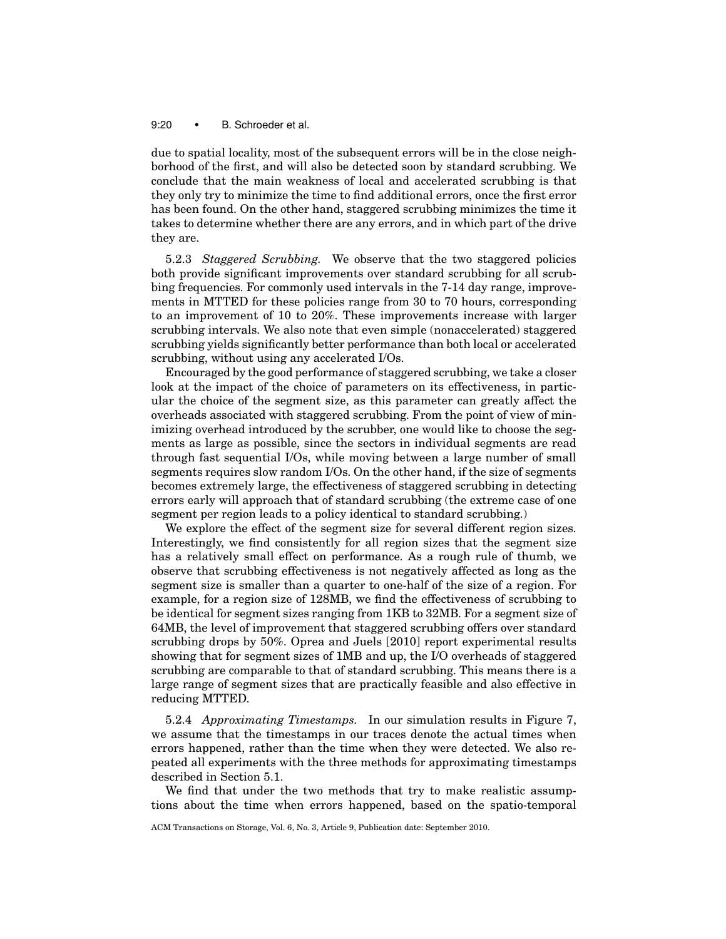#### 9:20 • B. Schroeder et al.

due to spatial locality, most of the subsequent errors will be in the close neighborhood of the first, and will also be detected soon by standard scrubbing. We conclude that the main weakness of local and accelerated scrubbing is that they only try to minimize the time to find additional errors, once the first error has been found. On the other hand, staggered scrubbing minimizes the time it takes to determine whether there are any errors, and in which part of the drive they are.

5.2.3 *Staggered Scrubbing.* We observe that the two staggered policies both provide significant improvements over standard scrubbing for all scrubbing frequencies. For commonly used intervals in the 7-14 day range, improvements in MTTED for these policies range from 30 to 70 hours, corresponding to an improvement of 10 to 20%. These improvements increase with larger scrubbing intervals. We also note that even simple (nonaccelerated) staggered scrubbing yields significantly better performance than both local or accelerated scrubbing, without using any accelerated I/Os.

Encouraged by the good performance of staggered scrubbing, we take a closer look at the impact of the choice of parameters on its effectiveness, in particular the choice of the segment size, as this parameter can greatly affect the overheads associated with staggered scrubbing. From the point of view of minimizing overhead introduced by the scrubber, one would like to choose the segments as large as possible, since the sectors in individual segments are read through fast sequential I/Os, while moving between a large number of small segments requires slow random I/Os. On the other hand, if the size of segments becomes extremely large, the effectiveness of staggered scrubbing in detecting errors early will approach that of standard scrubbing (the extreme case of one segment per region leads to a policy identical to standard scrubbing.)

We explore the effect of the segment size for several different region sizes. Interestingly, we find consistently for all region sizes that the segment size has a relatively small effect on performance. As a rough rule of thumb, we observe that scrubbing effectiveness is not negatively affected as long as the segment size is smaller than a quarter to one-half of the size of a region. For example, for a region size of 128MB, we find the effectiveness of scrubbing to be identical for segment sizes ranging from 1KB to 32MB. For a segment size of 64MB, the level of improvement that staggered scrubbing offers over standard scrubbing drops by 50%. Oprea and Juels [2010] report experimental results showing that for segment sizes of 1MB and up, the I/O overheads of staggered scrubbing are comparable to that of standard scrubbing. This means there is a large range of segment sizes that are practically feasible and also effective in reducing MTTED.

5.2.4 *Approximating Timestamps.* In our simulation results in Figure 7, we assume that the timestamps in our traces denote the actual times when errors happened, rather than the time when they were detected. We also repeated all experiments with the three methods for approximating timestamps described in Section 5.1.

We find that under the two methods that try to make realistic assumptions about the time when errors happened, based on the spatio-temporal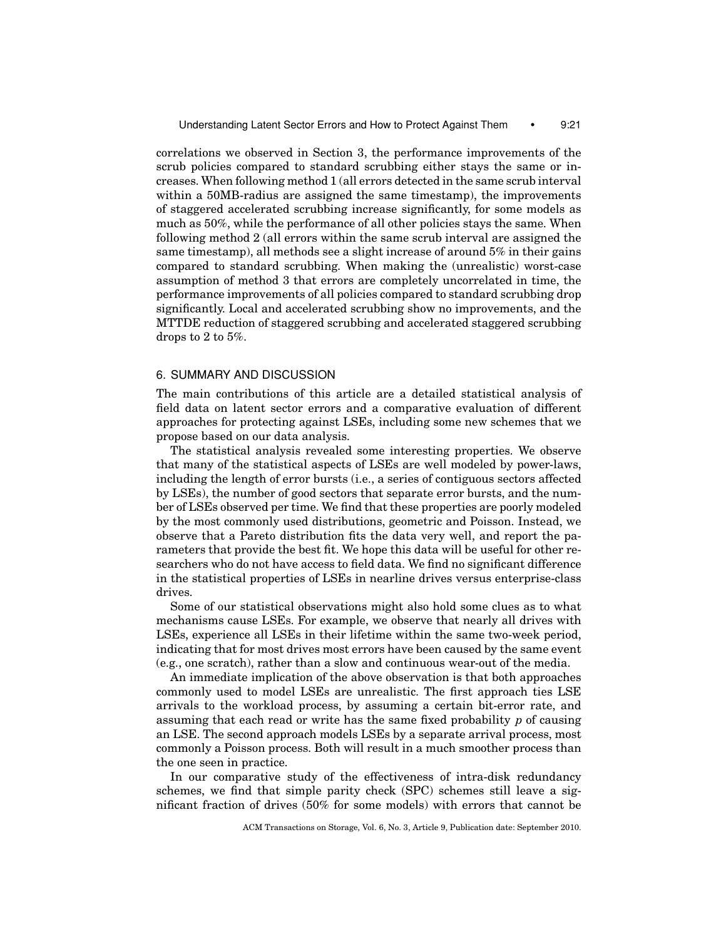correlations we observed in Section 3, the performance improvements of the scrub policies compared to standard scrubbing either stays the same or increases. When following method 1 (all errors detected in the same scrub interval within a 50MB-radius are assigned the same timestamp), the improvements of staggered accelerated scrubbing increase significantly, for some models as much as 50%, while the performance of all other policies stays the same. When following method 2 (all errors within the same scrub interval are assigned the same timestamp), all methods see a slight increase of around 5% in their gains compared to standard scrubbing. When making the (unrealistic) worst-case assumption of method 3 that errors are completely uncorrelated in time, the performance improvements of all policies compared to standard scrubbing drop significantly. Local and accelerated scrubbing show no improvements, and the MTTDE reduction of staggered scrubbing and accelerated staggered scrubbing drops to 2 to 5%.

## 6. SUMMARY AND DISCUSSION

The main contributions of this article are a detailed statistical analysis of field data on latent sector errors and a comparative evaluation of different approaches for protecting against LSEs, including some new schemes that we propose based on our data analysis.

The statistical analysis revealed some interesting properties. We observe that many of the statistical aspects of LSEs are well modeled by power-laws, including the length of error bursts (i.e., a series of contiguous sectors affected by LSEs), the number of good sectors that separate error bursts, and the number of LSEs observed per time. We find that these properties are poorly modeled by the most commonly used distributions, geometric and Poisson. Instead, we observe that a Pareto distribution fits the data very well, and report the parameters that provide the best fit. We hope this data will be useful for other researchers who do not have access to field data. We find no significant difference in the statistical properties of LSEs in nearline drives versus enterprise-class drives.

Some of our statistical observations might also hold some clues as to what mechanisms cause LSEs. For example, we observe that nearly all drives with LSEs, experience all LSEs in their lifetime within the same two-week period, indicating that for most drives most errors have been caused by the same event (e.g., one scratch), rather than a slow and continuous wear-out of the media.

An immediate implication of the above observation is that both approaches commonly used to model LSEs are unrealistic. The first approach ties LSE arrivals to the workload process, by assuming a certain bit-error rate, and assuming that each read or write has the same fixed probability *p* of causing an LSE. The second approach models LSEs by a separate arrival process, most commonly a Poisson process. Both will result in a much smoother process than the one seen in practice.

In our comparative study of the effectiveness of intra-disk redundancy schemes, we find that simple parity check (SPC) schemes still leave a significant fraction of drives (50% for some models) with errors that cannot be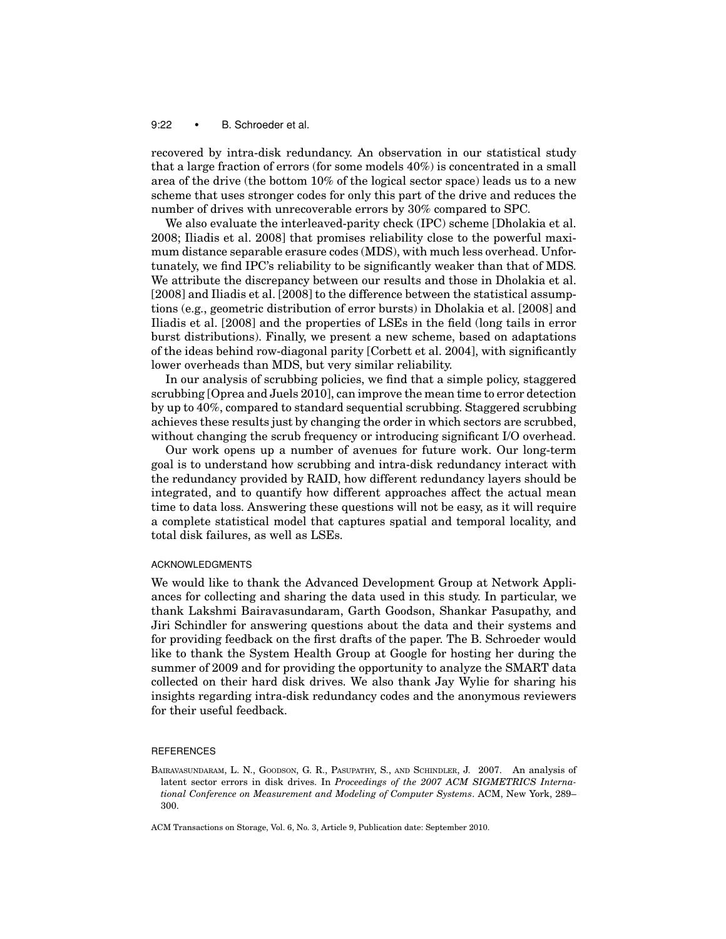## 9:22 • B. Schroeder et al.

recovered by intra-disk redundancy. An observation in our statistical study that a large fraction of errors (for some models 40%) is concentrated in a small area of the drive (the bottom 10% of the logical sector space) leads us to a new scheme that uses stronger codes for only this part of the drive and reduces the number of drives with unrecoverable errors by 30% compared to SPC.

We also evaluate the interleaved-parity check (IPC) scheme [Dholakia et al. 2008; Iliadis et al. 2008] that promises reliability close to the powerful maximum distance separable erasure codes (MDS), with much less overhead. Unfortunately, we find IPC's reliability to be significantly weaker than that of MDS. We attribute the discrepancy between our results and those in Dholakia et al. [2008] and Iliadis et al. [2008] to the difference between the statistical assumptions (e.g., geometric distribution of error bursts) in Dholakia et al. [2008] and Iliadis et al. [2008] and the properties of LSEs in the field (long tails in error burst distributions). Finally, we present a new scheme, based on adaptations of the ideas behind row-diagonal parity [Corbett et al. 2004], with significantly lower overheads than MDS, but very similar reliability.

In our analysis of scrubbing policies, we find that a simple policy, staggered scrubbing [Oprea and Juels 2010], can improve the mean time to error detection by up to 40%, compared to standard sequential scrubbing. Staggered scrubbing achieves these results just by changing the order in which sectors are scrubbed, without changing the scrub frequency or introducing significant I/O overhead.

Our work opens up a number of avenues for future work. Our long-term goal is to understand how scrubbing and intra-disk redundancy interact with the redundancy provided by RAID, how different redundancy layers should be integrated, and to quantify how different approaches affect the actual mean time to data loss. Answering these questions will not be easy, as it will require a complete statistical model that captures spatial and temporal locality, and total disk failures, as well as LSEs.

#### ACKNOWLEDGMENTS

We would like to thank the Advanced Development Group at Network Appliances for collecting and sharing the data used in this study. In particular, we thank Lakshmi Bairavasundaram, Garth Goodson, Shankar Pasupathy, and Jiri Schindler for answering questions about the data and their systems and for providing feedback on the first drafts of the paper. The B. Schroeder would like to thank the System Health Group at Google for hosting her during the summer of 2009 and for providing the opportunity to analyze the SMART data collected on their hard disk drives. We also thank Jay Wylie for sharing his insights regarding intra-disk redundancy codes and the anonymous reviewers for their useful feedback.

#### **REFERENCES**

BAIRAVASUNDARAM, L. N., GOODSON, G. R., PASUPATHY, S., AND SCHINDLER, J. 2007. An analysis of latent sector errors in disk drives. In *Proceedings of the 2007 ACM SIGMETRICS International Conference on Measurement and Modeling of Computer Systems*. ACM, New York, 289– 300.